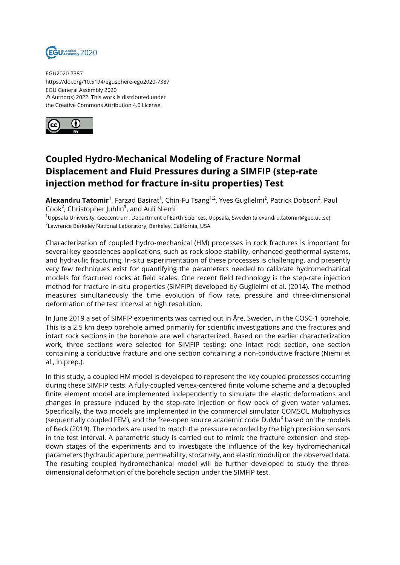

EGU2020-7387 https://doi.org/10.5194/egusphere-egu2020-7387 EGU General Assembly 2020 © Author(s) 2022. This work is distributed under the Creative Commons Attribution 4.0 License.



## **Coupled Hydro-Mechanical Modeling of Fracture Normal Displacement and Fluid Pressures during a SIMFIP (step-rate injection method for fracture in-situ properties) Test**

**Alexandru Tatomir**<sup>1</sup>, Farzad Basirat<sup>1</sup>, Chin-Fu Tsang<sup>1,2</sup>, Yves Guglielmi<sup>2</sup>, Patrick Dobson<sup>2</sup>, Paul Cook<sup>2</sup>, Christopher Juhlin<sup>1</sup>, and Auli Niemi<sup>1</sup>

<sup>1</sup>Uppsala University, Geocentrum, Department of Earth Sciences, Uppsala, Sweden (alexandru.tatomir@geo.uu.se)  $^{\rm 2}$ Lawrence Berkeley National Laboratory, Berkeley, California, USA

Characterization of coupled hydro-mechanical (HM) processes in rock fractures is important for several key geosciences applications, such as rock slope stability, enhanced geothermal systems, and hydraulic fracturing. In-situ experimentation of these processes is challenging, and presently very few techniques exist for quantifying the parameters needed to calibrate hydromechanical models for fractured rocks at field scales. One recent field technology is the step-rate injection method for fracture in-situ properties (SIMFIP) developed by Guglielmi et al. (2014). The method measures simultaneously the time evolution of flow rate, pressure and three-dimensional deformation of the test interval at high resolution.

In June 2019 a set of SIMFIP experiments was carried out in Åre, Sweden, in the COSC-1 borehole. This is a 2.5 km deep borehole aimed primarily for scientific investigations and the fractures and intact rock sections in the borehole are well characterized. Based on the earlier characterization work, three sections were selected for SIMFIP testing: one intact rock section, one section containing a conductive fracture and one section containing a non-conductive fracture (Niemi et al., in prep.).

In this study, a coupled HM model is developed to represent the key coupled processes occurring during these SIMFIP tests. A fully-coupled vertex-centered finite volume scheme and a decoupled finite element model are implemented independently to simulate the elastic deformations and changes in pressure induced by the step-rate injection or flow back of given water volumes. Specifically, the two models are implemented in the commercial simulator COMSOL Multiphysics (sequentially coupled FEM), and the free-open source academic code DuMu $^{\chi}$  based on the models of Beck (2019). The models are used to match the pressure recorded by the high precision sensors in the test interval. A parametric study is carried out to mimic the fracture extension and stepdown stages of the experiments and to investigate the influence of the key hydromechanical parameters (hydraulic aperture, permeability, storativity, and elastic moduli) on the observed data. The resulting coupled hydromechanical model will be further developed to study the threedimensional deformation of the borehole section under the SIMFIP test.